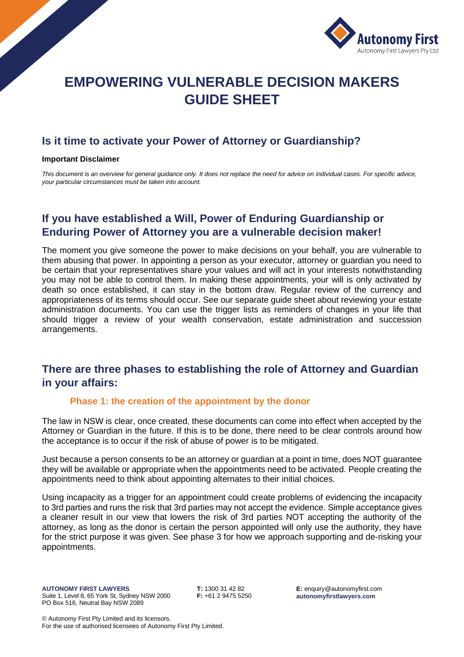

# **EMPOWERING VULNERABLE DECISION MAKERS GUIDE SHEET**

## **Is it time to activate your Power of Attorney or Guardianship?**

#### **Important Disclaimer**

*This document is an overview for general guidance only. It does not replace the need for advice on individual cases. For specific advice, your particular circumstances must be taken into account.*

# **If you have established a Will, Power of Enduring Guardianship or Enduring Power of Attorney you are a vulnerable decision maker!**

The moment you give someone the power to make decisions on your behalf, you are vulnerable to them abusing that power. In appointing a person as your executor, attorney or guardian you need to be certain that your representatives share your values and will act in your interests notwithstanding you may not be able to control them. In making these appointments, your will is only activated by death so once established, it can stay in the bottom draw. Regular review of the currency and appropriateness of its terms should occur. See our separate guide sheet about reviewing your estate administration documents. You can use the trigger lists as reminders of changes in your life that should trigger a review of your wealth conservation, estate administration and succession arrangements.

## **There are three phases to establishing the role of Attorney and Guardian in your affairs:**

#### **Phase 1: the creation of the appointment by the donor**

The law in NSW is clear, once created, these documents can come into effect when accepted by the Attorney or Guardian in the future. If this is to be done, there need to be clear controls around how the acceptance is to occur if the risk of abuse of power is to be mitigated.

Just because a person consents to be an attorney or guardian at a point in time, does NOT guarantee they will be available or appropriate when the appointments need to be activated. People creating the appointments need to think about appointing alternates to their initial choices.

Using incapacity as a trigger for an appointment could create problems of evidencing the incapacity to 3rd parties and runs the risk that 3rd parties may not accept the evidence. Simple acceptance gives a cleaner result in our view that lowers the risk of 3rd parties NOT accepting the authority of the attorney, as long as the donor is certain the person appointed will only use the authority, they have for the strict purpose it was given. See phase 3 for how we approach supporting and de-risking your appointments.

**T:** 1300 31 42 82 **F:** +61 2 9475 5250 **E:** enquiry@autonomyfirst.com **autonomyfirstlawyers.com**

© Autonomy First Pty Limited and its licensors. For the use of authorised licensees of Autonomy First Pty Limited.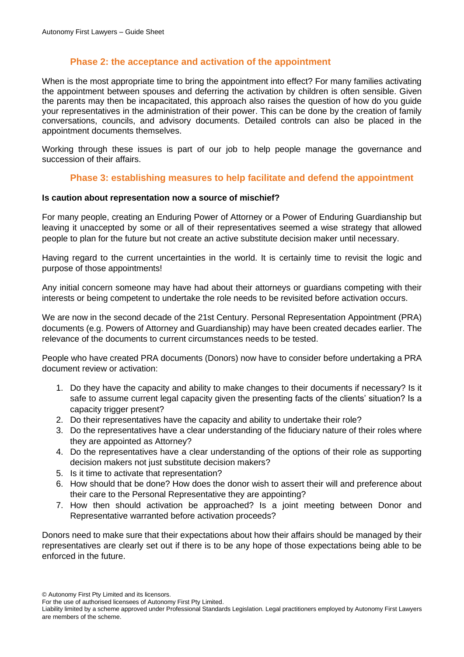## **Phase 2: the acceptance and activation of the appointment**

When is the most appropriate time to bring the appointment into effect? For many families activating the appointment between spouses and deferring the activation by children is often sensible. Given the parents may then be incapacitated, this approach also raises the question of how do you guide your representatives in the administration of their power. This can be done by the creation of family conversations, councils, and advisory documents. Detailed controls can also be placed in the appointment documents themselves.

Working through these issues is part of our job to help people manage the governance and succession of their affairs.

### **Phase 3: establishing measures to help facilitate and defend the appointment**

#### **Is caution about representation now a source of mischief?**

For many people, creating an Enduring Power of Attorney or a Power of Enduring Guardianship but leaving it unaccepted by some or all of their representatives seemed a wise strategy that allowed people to plan for the future but not create an active substitute decision maker until necessary.

Having regard to the current uncertainties in the world. It is certainly time to revisit the logic and purpose of those appointments!

Any initial concern someone may have had about their attorneys or guardians competing with their interests or being competent to undertake the role needs to be revisited before activation occurs.

We are now in the second decade of the 21st Century. Personal Representation Appointment (PRA) documents (e.g. Powers of Attorney and Guardianship) may have been created decades earlier. The relevance of the documents to current circumstances needs to be tested.

People who have created PRA documents (Donors) now have to consider before undertaking a PRA document review or activation:

- 1. Do they have the capacity and ability to make changes to their documents if necessary? Is it safe to assume current legal capacity given the presenting facts of the clients' situation? Is a capacity trigger present?
- 2. Do their representatives have the capacity and ability to undertake their role?
- 3. Do the representatives have a clear understanding of the fiduciary nature of their roles where they are appointed as Attorney?
- 4. Do the representatives have a clear understanding of the options of their role as supporting decision makers not just substitute decision makers?
- 5. Is it time to activate that representation?
- 6. How should that be done? How does the donor wish to assert their will and preference about their care to the Personal Representative they are appointing?
- 7. How then should activation be approached? Is a joint meeting between Donor and Representative warranted before activation proceeds?

Donors need to make sure that their expectations about how their affairs should be managed by their representatives are clearly set out if there is to be any hope of those expectations being able to be enforced in the future.

© Autonomy First Pty Limited and its licensors.

For the use of authorised licensees of Autonomy First Pty Limited.

Liability limited by a scheme approved under Professional Standards Legislation. Legal practitioners employed by Autonomy First Lawyers are members of the scheme.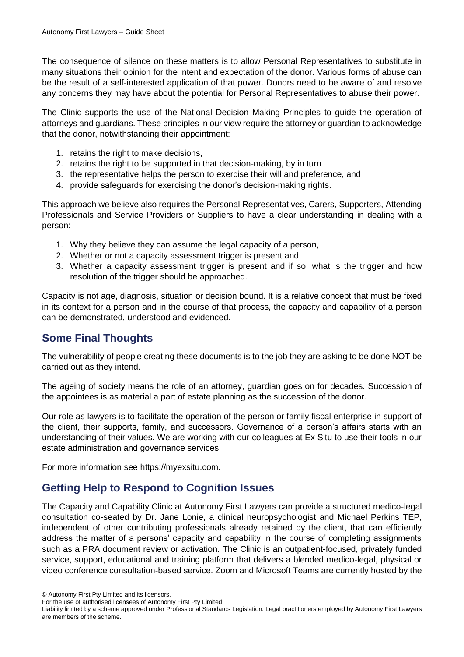The consequence of silence on these matters is to allow Personal Representatives to substitute in many situations their opinion for the intent and expectation of the donor. Various forms of abuse can be the result of a self-interested application of that power. Donors need to be aware of and resolve any concerns they may have about the potential for Personal Representatives to abuse their power.

The Clinic supports the use of the National Decision Making Principles to guide the operation of attorneys and guardians. These principles in our view require the attorney or guardian to acknowledge that the donor, notwithstanding their appointment:

- 1. retains the right to make decisions,
- 2. retains the right to be supported in that decision-making, by in turn
- 3. the representative helps the person to exercise their will and preference, and
- 4. provide safeguards for exercising the donor's decision-making rights.

This approach we believe also requires the Personal Representatives, Carers, Supporters, Attending Professionals and Service Providers or Suppliers to have a clear understanding in dealing with a person:

- 1. Why they believe they can assume the legal capacity of a person,
- 2. Whether or not a capacity assessment trigger is present and
- 3. Whether a capacity assessment trigger is present and if so, what is the trigger and how resolution of the trigger should be approached.

Capacity is not age, diagnosis, situation or decision bound. It is a relative concept that must be fixed in its context for a person and in the course of that process, the capacity and capability of a person can be demonstrated, understood and evidenced.

# **Some Final Thoughts**

The vulnerability of people creating these documents is to the job they are asking to be done NOT be carried out as they intend.

The ageing of society means the role of an attorney, guardian goes on for decades. Succession of the appointees is as material a part of estate planning as the succession of the donor.

Our role as lawyers is to facilitate the operation of the person or family fiscal enterprise in support of the client, their supports, family, and successors. Governance of a person's affairs starts with an understanding of their values. We are working with our colleagues at Ex Situ to use their tools in our estate administration and governance services.

For more information see https://myexsitu.com.

# **Getting Help to Respond to Cognition Issues**

The Capacity and Capability Clinic at Autonomy First Lawyers can provide a structured medico-legal consultation co-seated by Dr. Jane Lonie, a clinical neuropsychologist and Michael Perkins TEP, independent of other contributing professionals already retained by the client, that can efficiently address the matter of a persons' capacity and capability in the course of completing assignments such as a PRA document review or activation. The Clinic is an outpatient-focused, privately funded service, support, educational and training platform that delivers a blended medico-legal, physical or video conference consultation-based service. Zoom and Microsoft Teams are currently hosted by the

<sup>©</sup> Autonomy First Pty Limited and its licensors.

For the use of authorised licensees of Autonomy First Pty Limited.

Liability limited by a scheme approved under Professional Standards Legislation. Legal practitioners employed by Autonomy First Lawyers are members of the scheme.